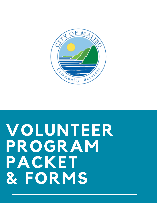

# **VOLUNTEER PROGRAM PACKET & FORMS**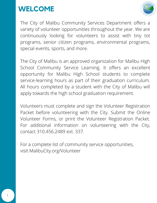## **WELCOME**



The City of Malibu Community Services Department offers a variety of volunteer opportunities throughout the year. We are continuously looking for volunteers to assist with tiny tot programs, senior citizen programs, environmental programs, special events, sports, and more.

The City of Malibu is an approved organization for Malibu High School Community Service Learning. It offers an excellent opportunity for Malibu High School students to complete service-learning hours as part of their graduation curriculum. All hours completed by a student with the City of Malibu will apply towards the high school graduation requirement.

Volunteers must complete and sign the Volunteer Registration Packet before volunteering with the City. Submit the Online Volunteer Forms, or print the Volunteer Registration Packet. For additional information on volunteering with the City, contact 310.456.2489 ext. 337.

For a complete list of community service opportunities, visit MalibuCity.org/Volunteer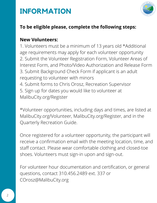



### **To be eligible please, complete the following steps:**

### **New Volunteers:**

1. Volunteers must be a minimum of 13 years old \*Additional age requirements may apply for each volunteer opportunity 2. Submit the Volunteer Registration Form, Volunteer Areas of Interest Form, and Photo/Video Authorization and Release Form 3. Submit Background Check Form if applicant is an adult requesting to volunteer with minors 4. Submit forms to Chris Orosz, Recreation Supervisor 5. Sign up for dates you would like to volunteer at MalibuCity.org/Register

\*Volunteer opportunities, including days and times, are listed at MalibuCity.org/Volunteer, MalibuCity.org/Register, and in the Quarterly Recreation Guide.

Once registered for a volunteer opportunity, the participant will receive a confirmation email with the meeting location, time, and staff contact. Please wear comfortable clothing and closed-toe shoes. Volunteers must sign-in upon and sign-out.

For volunteer hour documentation and certification, or general questions, contact 310.456.2489 ext. 337 or COrosz@MalibuCity.org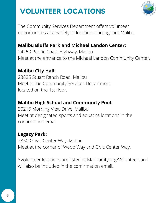# **VOLUNTEER LOCATIONS**



The Community Services Department offers volunteer opportunities at a variety of locations throughout Malibu.

### **Malibu Bluffs Park and Michael Landon Center:**

24250 Pacific Coast Highway, Malibu Meet at the entrance to the Michael Landon Community Center.

### **Malibu City Hall:**

23825 Stuart Ranch Road, Malibu Meet in the Community Services Department located on the 1st floor.

### **Malibu High School and Community Pool:**

30215 Morning View Drive, Malibu Meet at designated sports and aquatics locations in the confirmation email.

### **Legacy Park:**

23500 Civic Center Way, Malibu Meet at the corner of Webb Way and Civic Center Way.

\*Volunteer locations are listed at MalibuCity.org/Volunteer, and will also be included in the confirmation email.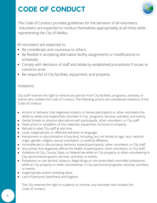# **CODE OF CONDUCT**



The Code of Conduct provides guidelines for the behavior of all volunteers. Volunteers are expected to conduct themselves appropriately at all times while representing the City of Malibu.

All volunteers are expected to:

- Be considerate and courteous to others.  $\bullet$
- Be flexible in accepting alternative facility assignments or modifications to schedules.
- Comply with decisions of staff and abide by established procedures if issues or concerns arise.
- Be respectful of City facilities, equipment, and property.

#### Violations:

City staff reserves the right to remove any person from City facilities, programs, activities, or events who violates the Code of Conduct. The following actions are considered violations of the Code of Conduct:

- Actions or behavior that negatively impacts or denies participants or other volunteers the ability to safely and respectfully volunteer in City programs, services, activities, and events.
- Verbal threats or physical altercations with participants, other volunteers, or City staff.
- Destruction or vandalism of City materials, equipment, furniture or property.  $\bullet$
- Refusal to obey City staff at any time.  $\bullet$
- Loud, inappropriate, or offensive behavior or language.  $\bullet$
- Harassment or discrimination of any kind, including, but not limited to age, race, national  $\bullet$ origin, gender, religion, sexual orientation, or political affiliation.
- Inconsiderate or discourteous behavior toward participants, other volunteers, or City staff.
- Any activity that negatively affects the health of participants, other volunteers, or City Staff.  $\bullet$
- Violations of City, County, State, or Federal law while on City property or when volunteering in City-sponsored programs, services, activities, or events.
- Possession or use alcohol, tobacco, illegal drugs or non-prescribed controlled substances while on City property or when volunteering in City-sponsored programs, services, activities, or events.
- Inappropriate and/or revealing attire.
- Lack of personal cleanliness and hygiene.  $\bullet$

The City reserves the right to suspend, or remove, any volunteer who violates the Code of Conduct.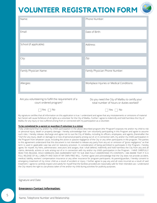# **VOLUNTEER REGISTRATION FORM**



| Name:                                                                          | Phone Number:                                                                                                                                                  |  |  |
|--------------------------------------------------------------------------------|----------------------------------------------------------------------------------------------------------------------------------------------------------------|--|--|
| Email:                                                                         | Date of Birth:                                                                                                                                                 |  |  |
| School (if applicable):                                                        | Address:                                                                                                                                                       |  |  |
| City:                                                                          | Zip:                                                                                                                                                           |  |  |
| Family Physician Name:                                                         | Family Physician Phone Number:                                                                                                                                 |  |  |
| Allergies:                                                                     | Workplace Injuries or Medical Conditions:                                                                                                                      |  |  |
| Are you volunteering to fulfill the requirement of a<br>court ordered program? | Do you need the City of Malibu to certify your<br>total number of hours or duties worked?                                                                      |  |  |
| No<br>Yes                                                                      | T No<br>Yes<br>My signature certifies that all information on this application is true. I understand and agree that any misstatements or omissions of material |  |  |

#### **To be completed by a parent or guardian if volunteer is a minor**

Malibu for any injury or loss suffered arising from or connected with my participation as a volunteer.

I fully understand that my and/or my child's participation in the above described program (the "Program") exposes me and/or my child to risk or personal injury, death or property damage. I hereby acknowledge that I am voluntarily participating in this Program and agree to assume such risks. I hereby release, discharge and agree not to sue the City of Malibu, including its officers, employees, and agents, (hereinafter the "City") for any injury, death or damage to or loss of personal property arising out of, or in connection with, my and/or my child's participation in the Program from whatever cause, including the active or passive negligence of the City or any other participants in the program. The parties to this agreement understand that this document is not intended to release any party from any act or omission of "gross negligence," as that term is used in applicable case law and /or statutory provision. In consideration of being permitted to participate in the Program, I hereby agree, for myself, my heirs, administrator, executors and assigns, that I shall defend, indemnify and hold harmless the City from any and all claims, demands, actions or suits arising out of or in connection with my and/or my child's participation in the Program. I HAVE CAREFULLY READ THIS RELEASE, HOLD HARMLESS AND AGREEMENT NOT TO SUE AND FULLY UNDERSTAND ITS CONTENTS. I AM AWARE THAT IT IS A FULL RELEASE OF ALL LIABILITY AND SIGN AT MY OWN FREE WILL. I further agree and acknowledge that the City does not provide accident, medical, liability, workers' compensation insurance or any other insurance for program participants. As parent/guardian, I hereby consent to emergency treatment of my minor child as a result of accident or injury. I further agree to pay any and all costs incurred as a result of said treatment. I agree to carefully inspect and satisfy for myself that the facilities provided are reasonably safe for their intended use. I understand the City retains the right to use photos taken of me and/or my child during activities for publicity purposes.

Signature and Date

#### **Emergency Contact Information:**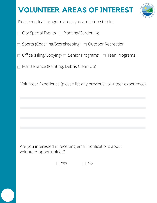# **VOLUNTEER AREAS OF INTEREST**



Please mark all program areas you are interested in:

- $\Box$  City Special Events  $\Box$  Planting/Gardening
- $\Box$  Sports (Coaching/Scorekeeping)  $\Box$  Outdoor Recreation
- $\Box$  Office (Filing/Copying)  $\Box$  Senior Programs  $\Box$  Teen Programs
- Maintenance (Painting, Debris Clean-Up)

Volunteer Experience (please list any previous volunteer experience):

Are you interested in receiving email notifications about volunteer opportunities?

 $\Box$  Yes  $\Box$  No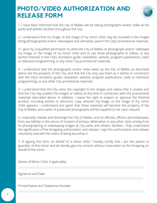### **PHOTO/VIDEO AUTHORIZATION AND RELEASE FORM**



1. I have been informed that the City of Malibu will be taking photographs and/or video at the parks and athletic facilities throughout the City.

2. I understand that my image, or the image of my minor child, may be included in the images being photographed and/or videotaped and ultimately used in the City's promotional materials.

3. I give my unqualified permission to allow the City of Malibu to photograph and/or videotape my image, or the image of my minor child, and to use those photographs or videos, or any portion thereof, in the City's recreation guide, newsletter, website, program publications, radio or television programming, or any other City promotional materials.

4. I understand that the photographs and/or video taken by the City of Malibu as described above are the property of the City, and that the City may use them as it wishes in connection with the City's recreation guide, newsletter, website, program publications, radio or television programming, or any other City promotional materials.

5. I understand that the City owns the copyright to the images and videos that it creates and that the City may publish the images or videos at any time in connection with the promotional materials described above. In addition, I waive the right to inspect or approve the finished product, including written or electronic copy, wherein my image, or the image of my minor child, appears. I understand and agree that these materials will become the property of the City of Malibu and copies of publicized photographs will be supplied to me upon request.

6. I expressly release and discharge the City of Malibu, and its officials, officers and employees, from any liability in the nature of invasion of privacy, defamation or any other claim arising from its photographing or videotaping images at City parks and athletic facilities. I fully understand the significance of the foregoing authorization and release; I sign this authorization and release voluntarily and with the intent of being bound by it.

7. If signing this form on behalf of a minor child, I hereby certify that I am the parent or guardian of this minor and do hereby give my consent without reservation to the foregoing on behalf of the minor.

(Name of Minor Child, if applicable)

Signature and Date

Printed Name and Telephone Number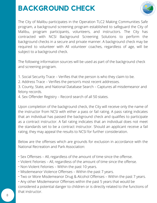# **BACKGROUND CHECK**



The City of Malibu participates in the Operation TLC2 Making Communities Safe program, a background screening program established to safeguard the City of Malibu, program participants, volunteers, and instructors. The City has contracted with NCSI Background Screening Solutions to perform the background checks in a secure and private manner. A background check may be required to volunteer with All volunteer coaches, regardless of age, will be subject to a background check.

The following information sources will be used as part of the background check and screening program.

1. Social Security Trace – Verifies that the person is who they claim to be.

2. Address Trace – Verifies the person's most recent addresses.

3. County, State, and National Database Search – Captures all misdemeanor and felony records.

4. Sex Offender Registry – Record search of all 50 states.

Upon completion of the background check, the City will receive only the name of the instructor from NCSI with either a pass or fail rating. A pass rating indicates that an individual has passed the background check and qualifies to participate as a contract instructor. A fail rating indicates that an individual does not meet the standards set to be a contract instructor. Should an applicant receive a fail rating, they may appeal the results to NCSI for further consideration.

Below are the offenses which are grounds for exclusion in accordance with the National Recreation and Park Association:

- Sex Offenses All, regardless of the amount of time since the offense.
- Violent Felonies All, regardless of the amount of time since the offense.
- Non-Violent Felonies Within the past 10 years.
- Misdemeanor Violence Offenses Within the past 7 years.
- Two or More Misdemeanor Drug & Alcohol Offenses Within the past 7 years.

• Any other Misdemeanor Offenses within the past 5 years that would be considered a potential danger to children or is directly related to the functions of that instructor.